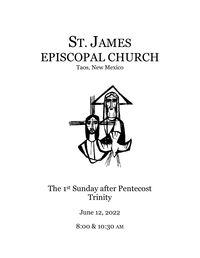# ST. JAMES EPISCOPAL CHURCH

Taos, New Mexico



## The 1st Sunday after Pentecost Trinity

June 12, 2022

8:00 & 10:30 AM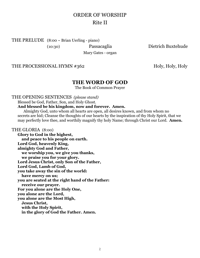### ORDER OF WORSHIP Rite II

THE PRELUDE (8:00 ~ Brian Uerling - piano)

(10:30) Passacaglia Dietrich Buxtehude

Mary Gates - organ

### THE PROCESSIONAL HYMN #362 Holy, Holy, Holy, Holy

### **THE WORD OF GOD**

The Book of Common Prayer

THE OPENING SENTENCES *(please stand)*

Blessed be God, Father, Son, and Holy Ghost.

### **And blessed be his kingdom, now and forever. Amen.**

Almighty God, unto whom all hearts are open, all desires known, and from whom no secrets are hid; Cleanse the thoughts of our hearts by the inspiration of thy Holy Spirit, that we may perfectly love thee, and worthily magnify thy holy Name; through Christ our Lord. **Amen.**

### THE GLORIA (8:00)

**Glory to God in the highest, and peace to his people on earth. Lord God, heavenly King, almighty God and Father, we worship you, we give you thanks, we praise you for your glory. Lord Jesus Christ, only Son of the Father, Lord God, Lamb of God, you take away the sin of the world: have mercy on us; you are seated at the right hand of the Father: receive our prayer. For you alone are the Holy One, you alone are the Lord, you alone are the Most High, Jesus Christ, with the Holy Spirit, in the glory of God the Father. Amen.**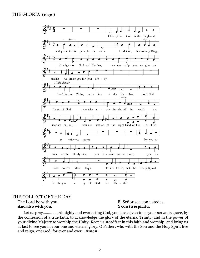

### THE COLLECT OF THE DAY The Lord be with you. El Señor sea con ustedes. And also with you.  $\qquad \qquad \qquad$  Y con tu espíritu.

Let us pray.............. Almighty and everlasting God, you have given to us your servants grace, by the confession of a true faith, to acknowledge the glory of the eternal Trinity, and in the power of your divine Majesty to worship the Unity: Keep us steadfast in this faith and worship, and bring us at last to see you in your one and eternal glory, O Father; who with the Son and the Holy Spirit live and reign, one God, for ever and ever. **Amen.**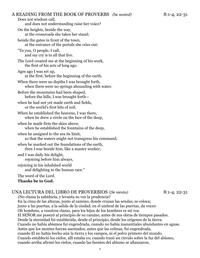### A READING FROM THE BOOK OF PROVERBS *(be seated)* 8:1-4, 22-31

Does not wisdom call,

and does not understanding raise her voice?

On the heights, beside the way, at the crossroads she takes her stand;

beside the gates in front of the town, at the entrance of the portals she cries out:

"To you, O people, I call, and my cry is to all that live.

The Lord created me at the beginning of his work, the first of his acts of long ago.

Ages ago I was set up, at the first, before the beginning of the earth.

When there were no depths I was brought forth, when there were no springs abounding with water.

Before the mountains had been shaped, before the hills, I was brought forth--

when he had not yet made earth and fields, or the world's first bits of soil.

When he established the heavens, I was there, when he drew a circle on the face of the deep,

when he made firm the skies above, when he established the fountains of the deep,

when he assigned to the sea its limit, so that the waters might not transgress his command,

when he marked out the foundations of the earth, then I was beside him, like a master worker;

and I was daily his delight, rejoicing before him always,

rejoicing in his inhabited world and delighting in the human race."

The word of the Lord.

### **Thanks be to God.**

### UNA LECTURA DEL LIBRO DE PROVERBIOS (*Se sienta)* 8:1-4, 22-31

¿No clama la sabiduría, y levanta su voz la prudencia? En la cima de las alturas, junto al camino, donde cruzan las sendas, se coloca; junto a las puertas, a la salida de la ciudad, en el umbral de las puertas, da voces: Oh hombres, a vosotros clamo, para los hijos de los hombres es mi voz. El SEÑOR me poseyó al principio de su camino, antes de sus obras de tiempos pasados. Desde la eternidad fui establecida, desde el principio, desde los orígenes de la tierra. Cuando no había abismos fui engendrada, cuando no había manantiales abundantes en aguas. Antes que los montes fueran asentados, antes que las colinas, fui engendrada, cuando El no había hecho aún la tierra y los campos, ni el polvo primero del mundo. Cuando estableció los cielos, allí estaba yo; cuando trazó un círculo sobre la faz del abismo, cuando arriba afirmó los cielos, cuando las fuentes del abismo se afianzaron,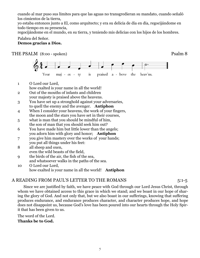cuando al mar puso sus límites para que las aguas no transgredieran su mandato, cuando señaló los cimientos de la tierra,

yo estaba entonces junto a El, como arquitecto; y era su delicia de día en día, regocijándome en todo tiempo en su presencia,

regocijándome en el mundo, en su tierra, y teniendo mis delicias con los hijos de los hombres.

### Palabra del Señor. **Demos gracias a Dios.**

### THE PSALM (8:00 - spoken) Psalm 8



- 1 O Lord our Lord,
	- how exalted is your name in all the world!
- 2 Out of the mouths of infants and children your majesty is praised above the heavens.
- 3 You have set up a stronghold against your adversaries, to quell the enemy and the avenger. **Antiphon**
- 4 When I consider your heavens, the work of your fingers, the moon and the stars you have set in their courses,
- 5 what is man that you should be mindful of him, the son of man that you should seek him out?
- 6 You have made him but little lower than the angels; you adorn him with glory and honor; **Antiphon**
- 7 you give him mastery over the works of your hands; you put all things under his feet:
- 8 all sheep and oxen, even the wild beasts of the field,
- 9 the birds of the air, the fish of the sea, and whatsoever walks in the paths of the sea.
- 10 O Lord our Lord, how exalted is your name in all the world! **Antiphon**

### A READING FROM PAUL'S LETTER TO THE ROMANS 5:1-5

Since we are justified by faith, we have peace with God through our Lord Jesus Christ, through whom we have obtained access to this grace in which we stand; and we boast in our hope of sharing the glory of God. And not only that, but we also boast in our sufferings, knowing that suffering produces endurance, and endurance produces character, and character produces hope, and hope does not disappoint us, because God's love has been poured into our hearts through the Holy Spirit that has been given to us.

The word of the Lord. **Thanks be to God.**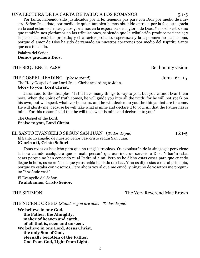### UNA LECTURA DE LA CARTA DE PABLO A LOS ROMANOS 5:1-5

Por tanto, habiendo sido justificados por la fe, tenemos paz para con Dios por medio de nuestro Señor Jesucristo, por medio de quien también hemos obtenido entrada por la fe a esta gracia en la cual estamos firmes, y nos gloriamos en la esperanza de la gloria de Dios. Y no sólo esto, sino que también nos gloriamos en las tribulaciones, sabiendo que la tribulación produce paciencia; y la paciencia, carácter probado; y el carácter probado, esperanza; y la esperanza no desilusiona, porque el amor de Dios ha sido derramado en nuestros corazones por medio del Espíritu Santo que nos fue dado.

Palabra del Señor. **Demos gracias a Dios.**

### THE SEQUENCE #488 Be thou my vision

THE GOSPEL READING *(please stand)* John 16:1-15

The Holy Gospel of our Lord Jesus Christ according to John.

### **Glory to you, Lord Christ.**

Jesus said to the disciples, "I still have many things to say to you, but you cannot bear them now. When the Spirit of truth comes, he will guide you into all the truth; for he will not speak on his own, but will speak whatever he hears, and he will declare to you the things that are to come. He will glorify me, because he will take what is mine and declare it to you. All that the Father has is mine. For this reason I said that he will take what is mine and declare it to you."

The Gospel of the Lord. **Praise to you, Lord Christ.**

### EL SANTO EVANGELIO SEGÚN SAN JUAN (*Todos de pie)* 16:1-5

### El Santo Evangelio de nuestro Señor Jesucristo según San Juan. **¡Gloria a ti, Cristo Señor!**

Estas cosas os he dicho para que no tengáis tropiezo. Os expulsarán de la sinagoga; pero viene la hora cuando cualquiera que os mate pensará que así rinde un servicio a Dios. Y harán estas cosas porque no han conocido ni al Padre ni a mí. Pero os he dicho estas cosas para que cuando llegue la hora, os acordéis de que ya os había hablado de ellas. Y no os dije estas cosas al principio, porque yo estaba con vosotros. Pero ahora voy al que me envió, y ninguno de vosotros me pregunta: "¿Adónde vas?"

### El Evangelio del Señor. **Te alabamos, Cristo Señor.**

THE NICENE CREED (*Stand as you are able. Todos de pie)*

**We believe in one God, the Father, the Almighty, maker of heaven and earth, of all that is, seen and unseen. We believe in one Lord, Jesus Christ, the only Son of God, eternally begotten of the Father, God from God, Light from Light,** 

THE SERMON THE SERMON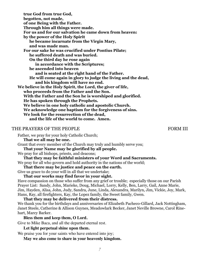**true God from true God, begotten, not made, of one Being with the Father. Through him all things were made. For us and for our salvation he came down from heaven: by the power of the Holy Spirit he became incarnate from the Virgin Mary, and was made man. For our sake he was crucified under Pontius Pilate; he suffered death and was buried. On the third day he rose again in accordance with the Scriptures; he ascended into heaven and is seated at the right hand of the Father. He will come again in glory to judge the living and the dead, and his kingdom will have no end. We believe in the Holy Spirit, the Lord, the giver of life, who proceeds from the Father and the Son. With the Father and the Son he is worshiped and glorified. He has spoken through the Prophets. We believe in one holy catholic and apostolic Church. We acknowledge one baptism for the forgiveness of sins. We look for the resurrection of the dead, and the life of the world to come. Amen.**

### THE PRAYERS OF THE PEOPLE THE SECOND FORM III

Father, we pray for your holy Catholic Church; **That we all may be one.** Grant that every member of the Church may truly and humbly serve you; **That your Name may be glorified by all people.** We pray for all bishops, priests, and deacons;

**That they may be faithful ministers of your Word and Sacraments.**

We pray for all who govern and hold authority in the nations of the world;

**That there may be justice and peace on the earth.**

Give us grace to do your will in all that we undertake;

**That our works may find favor in your sight.**

Have compassion on those who suffer from any grief or trouble; especially those on our Parish Prayer List: Sandy, John, Marieke, Doug, Michael, Lorry, Kelly, Ben, Larry, Gail, Anne Marie, Jim, Hayden, Alisa, John, Judy, Sandra, June, Linda, Alexandra, Marilyn, Jim, Vickie, Joy, Mark, Hans, Ray, all firefighters, Kay, the Lopez family, the Sweet family, Gwen.

**That they may be delivered from their distress.** We thank you for the birthdays and anniversaries of Elizabeth Pacheco-Gillard, Jack Nottingham, Janet Steele, Catherine & Allison Guynes, Meadowlark Becker, Janet Neville Browne, Carol Rinehart, Marcy Barker.

**Bless them and keep them, O Lord.**

Give to Mike Baca, and all the departed eternal rest.

**Let light perpetual shine upon them.**

We praise you for your saints who have entered into joy;

**May we also come to share in your heavenly kingdom.**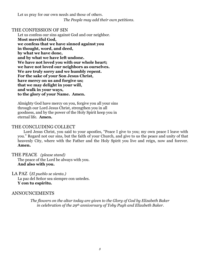Let us pray for our own needs and those of others.  *The People may add their own petitions.*

### THE CONFESSION OF SIN

Let us confess our sins against God and our neighbor. **Most merciful God, we confess that we have sinned against you in thought, word, and deed, by what we have done, and by what we have left undone. We have not loved you with our whole heart; we have not loved our neighbors as ourselves. We are truly sorry and we humbly repent. For the sake of your Son Jesus Christ, have mercy on us and forgive us; that we may delight in your will, and walk in your ways, to the glory of your Name. Amen.**

Almighty God have mercy on you, forgive you all your sins through our Lord Jesus Christ, strengthen you in all goodness, and by the power of the Holy Spirit keep you in eternal life. **Amen.**

### THE CONCLUDING COLLECT

Lord Jesus Christ, you said to your apostles, "Peace I give to you; my own peace I leave with you." Regard not our sins, but the faith of your Church, and give to us the peace and unity of that heavenly City, where with the Father and the Holy Spirit you live and reign, now and forever. **Amen.**

THE PEACE *(please stand)* The peace of the Lord be always with you. **And also with you.**

LA PAZ (*El pueblo se sienta.)*

La paz del Señor sea siempre con ustedes. **Y con tu espíritu.**

### ANNOUNCEMENTS

*The flowers on the altar today are given to the Glory of God by Elizabeth Baker in celebration of the 29th anniversary of Toby Pugh and Elizabeth Baker.*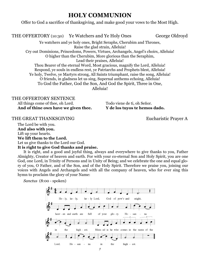### **HOLY COMMUNION**

Offer to God a sacrifice of thanksgiving, and make good your vows to the Most High.

### THE OFFERTORY (10:30) Ye Watchers and Ye Holy Ones George Oldroyd

Ye watchers and ye holy ones, Bright Seraphs, Cherubim and Thrones, Raise the glad strain, Alleluia! Cry out Dominions, Princedoms, Powers, Virtues, Archangels, Angel's choirs, Alleluia! O higher than the Cherubim, More glorious than the Seraphim, Lead their praises, Alleluia! Thou Bearer of the eternal Word, Most gracious, magnify the Lord, Alleluia! Respond, ye souls in endless rest, ye Patriarchs and Prophets blest, Alleluia! Ye holy, Twelve, ye Martyrs strong, All Saints triumphant, raise the song, Alleluia! O friends, in gladness let us sing, Supernal anthems echoing, Alleluia! To God the Father, God the Son, And God the Spirit, Three in One, Alleluia!

### THE OFFERTORY SENTENCE

All things come of thee, oh Lord. Todo viene de ti, oh Señor. **And of thine own have we given thee. Y de los tuyos te hemos dado.**

THE GREAT THANKSGIVING EUCharistic Prayer A

The Lord be with you. **And also with you.** Lift up your hearts. **We lift them to the Lord.** Let us give thanks to the Lord our God.

**It is right to give God thanks and praise.**

It is right, and a good and joyful thing, always and everywhere to give thanks to you, Father Almighty, Creator of heaven and earth. For with your co-eternal Son and Holy Spirit, you are one God, one Lord, in Trinity of Persons and in Unity of Being; and we celebrate the one and equal glory of you, O Father, and of the Son, and of the Holy Spirit. Therefore we praise you, joining our voices with Angels and Archangels and with all the company of heaven, who for ever sing this hymn to proclaim the glory of your Name:

*Sanctus* (8:00 - spoken)

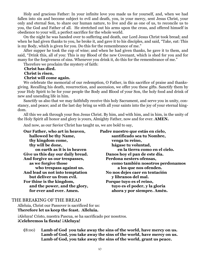Holy and gracious Father: In your infinite love you made us for yourself, and, when we had fallen into sin and become subject to evil and death, you, in your mercy, sent Jesus Christ, your only and eternal Son, to share our human nature, to live and die as one of us, to reconcile us to you, the God and Father of all. He stretched out his arms upon the cross, and offered himself in obedience to your will, a perfect sacrifice for the whole world.

On the night he was handed over to suffering and death, our Lord Jesus Christ took bread; and when he had given thanks to you, he broke it, and gave it to his disciples, and said, "Take, eat: This is my Body, which is given for you. Do this for the remembrance of me."

After supper he took the cup of wine; and when he had given thanks, he gave it to them, and said, "Drink this, all of you: This is my Blood of the new Covenant, which is shed for you and for many for the forgiveness of sins. Whenever you drink it, do this for the remembrance of me."

Therefore we proclaim the mystery of faith:

### **Christ has died.**

### **Christ is risen,**

### **Christ will come again.**

We celebrate the memorial of our redemption, O Father, in this sacrifice of praise and thanksgiving. Recalling his death, resurrection, and ascension, we offer you these gifts. Sanctify them by your Holy Spirit to be for your people the Body and Blood of your Son, the holy food and drink of new and unending life in him.

Sanctify us also that we may faithfully receive this holy Sacrament, and serve you in unity, constancy, and peace; and at the last day bring us with all your saints into the joy of your eternal kingdom.

All this we ask through your Son Jesus Christ. By him, and with him, and in him, in the unity of the Holy Spirit all honor and glory is yours, Almighty Father, now and for ever. **AMEN.**

And now, as our Savior Christ has taught us, we are bold to say,

| Our Father, who art in heaven,    | Padre nuestro que estás en cielo, |
|-----------------------------------|-----------------------------------|
| hallowed be thy Name,             | santificado sea tu Nombre,        |
| thy kingdom come,                 | venga tu reino,                   |
| thy will be done,                 | hágase tu voluntad,               |
| on earth as it is in heaven       | en la tierra como en el cielo.    |
| Give us this day our daily bread. | Danos hoy el pan de este día.     |
| And forgive us our trespasses,    | Perdona nesters ofensas,          |
| as we forgive those               | como también nosotros perdonamos  |
| who trespass against us.          | a los que nos ofenden.            |
| And lead us not into temptation   | No nos dejes caer en tentación    |
| but deliver us from evil.         | y libranos del mal.               |
| For thine is the kingdom,         | Porque tuyo es el reino,          |
| and the power, and the glory,     | tuyo es el poder, y la gloria     |
| for ever and ever. Amen.          | ahora y por siempre. Amén.        |

### THE BREAKING OF THE BREAD

Alleluia, Christ our Passover is sacrificed for us: **Therefore let us keep the feast. Alleluia.**

¡Aleluya! Cristo, nuestra Pascua, se ha sacrificado por nosotros. **¡Celebremos la fiesta! ¡Aleluya!**

**(**8:00) **Lamb of God you take away the sins of the world, have mercy on us. Lamb of God, you take away the sins of the world, have mercy on us. Lamb of God, you take away the sins of the world, grant us peace.**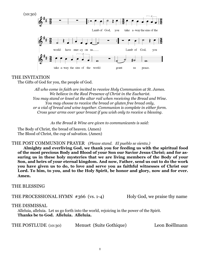

### THE INVITATION

The Gifts of God for you, the people of God.

*All who come in faith are invited to receive Holy Communion at St. James. We believe in the Real Presence of Christ in the Eucharist. You may stand or kneel at the altar rail when receiving the Bread and Wine. You may choose to receive the bread or gluten free bread only, or a vial of bread and wine together. Communion is complete in either form. Cross your arms over your breast if you wish only to receive a blessing.* 

*As the Bread & Wine are given to communicants is said:*

The Body of Christ, the bread of heaven. (Amen) The Blood of Christ, the cup of salvation. (Amen)

### THE POST COMMUNION PRAYER *(Please stand. El pueblo se sienta.)*

**Almighty and everliving God, we thank you for feeding us with the spiritual food of the most precious Body and Blood of your Son our Savior Jesus Christ; and for assuring us in these holy mysteries that we are living members of the Body of your Son, and heirs of your eternal kingdom. And now, Father, send us out to do the work you have given us to do, to love and serve you as faithful witnesses of Christ our Lord. To him, to you, and to the Holy Spirit, be honor and glory, now and for ever. Amen.** 

### THE BLESSING

THE PROCESSIONAL HYMN  $#366$  (vs. 1-4) Holy God, we praise thy name

### THE DISMISSAL

Alleluia, alleluia. Let us go forth into the world, rejoicing in the power of the Spirit. **Thanks be to God. Alleluia. Alleluia.**

THE POSTLUDE (10:30) Menuet (Suite Gothique) Leon Boëllmann